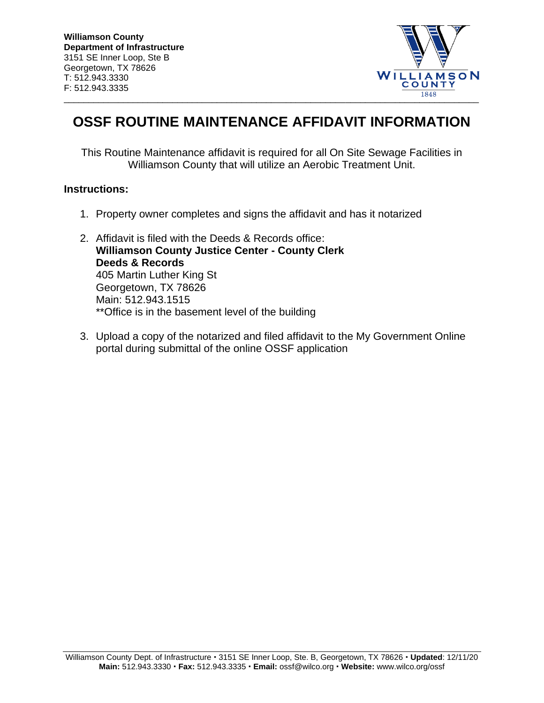

## **OSSF ROUTINE MAINTENANCE AFFIDAVIT INFORMATION**

This Routine Maintenance affidavit is required for all On Site Sewage Facilities in Williamson County that will utilize an Aerobic Treatment Unit.

## **Instructions:**

- 1. Property owner completes and signs the affidavit and has it notarized
- 2. Affidavit is filed with the Deeds & Records office: **Williamson County Justice Center - County Clerk Deeds & Records** 405 Martin Luther King St Georgetown, TX 78626 Main: 512.943.1515 \*\*Office is in the basement level of the building
- 3. Upload a copy of the notarized and filed affidavit to the My Government Online portal during submittal of the online OSSF application